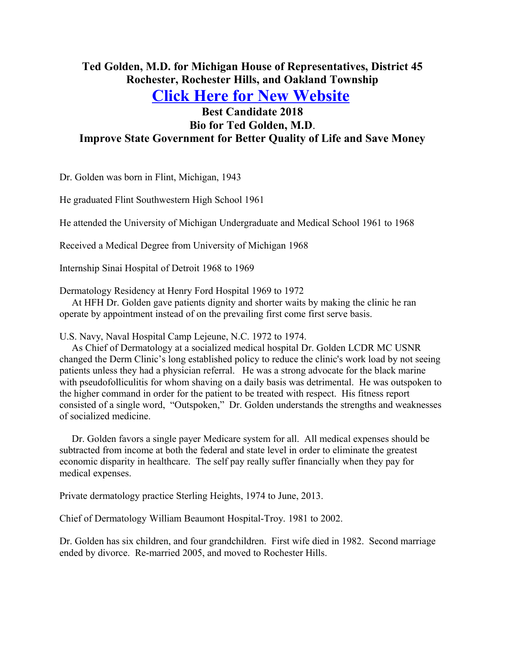## **Ted Golden, M.D. for Michigan House of Representatives, District 45 Rochester, Rochester Hills, and Oakland Township**

**[Click Here for New Website](http://www.tedgoldenmd.com/)**

## **Best Candidate 2018 Bio for Ted Golden, M.D**. **Improve State Government for Better Quality of Life and Save Money**

Dr. Golden was born in Flint, Michigan, 1943

He graduated Flint Southwestern High School 1961

He attended the University of Michigan Undergraduate and Medical School 1961 to 1968

Received a Medical Degree from University of Michigan 1968

Internship Sinai Hospital of Detroit 1968 to 1969

Dermatology Residency at Henry Ford Hospital 1969 to 1972

 At HFH Dr. Golden gave patients dignity and shorter waits by making the clinic he ran operate by appointment instead of on the prevailing first come first serve basis.

U.S. Navy, Naval Hospital Camp Lejeune, N.C. 1972 to 1974.

 As Chief of Dermatology at a socialized medical hospital Dr. Golden LCDR MC USNR changed the Derm Clinic's long established policy to reduce the clinic's work load by not seeing patients unless they had a physician referral. He was a strong advocate for the black marine with pseudofolliculitis for whom shaving on a daily basis was detrimental. He was outspoken to the higher command in order for the patient to be treated with respect. His fitness report consisted of a single word, "Outspoken," Dr. Golden understands the strengths and weaknesses of socialized medicine.

 Dr. Golden favors a single payer Medicare system for all. All medical expenses should be subtracted from income at both the federal and state level in order to eliminate the greatest economic disparity in healthcare. The self pay really suffer financially when they pay for medical expenses.

Private dermatology practice Sterling Heights, 1974 to June, 2013.

Chief of Dermatology William Beaumont Hospital-Troy. 1981 to 2002.

Dr. Golden has six children, and four grandchildren. First wife died in 1982. Second marriage ended by divorce. Re-married 2005, and moved to Rochester Hills.